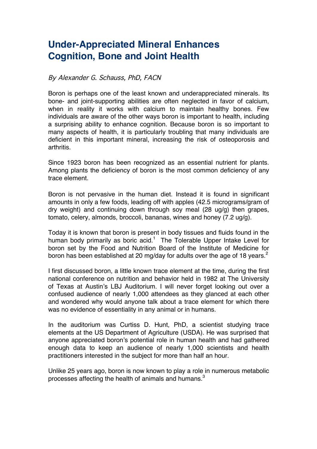# **Under-Appreciated Mineral Enhances Cognition, Bone and Joint Health**

# By Alexander G. Schauss, PhD, FACN

Boron is perhaps one of the least known and underappreciated minerals. Its bone- and joint-supporting abilities are often neglected in favor of calcium, when in reality it works with calcium to maintain healthy bones. Few individuals are aware of the other ways boron is important to health, including a surprising ability to enhance cognition. Because boron is so important to many aspects of health, it is particularly troubling that many individuals are deficient in this important mineral, increasing the risk of osteoporosis and arthritis.

Since 1923 boron has been recognized as an essential nutrient for plants. Among plants the deficiency of boron is the most common deficiency of any trace element.

Boron is not pervasive in the human diet. Instead it is found in significant amounts in only a few foods, leading off with apples (42.5 micrograms/gram of dry weight) and continuing down through soy meal (28 ug/g) then grapes, tomato, celery, almonds, broccoli, bananas, wines and honey (7.2 ug/g).

Today it is known that boron is present in body tissues and fluids found in the human body primarily as boric acid.<sup>1</sup> The Tolerable Upper Intake Level for boron set by the Food and Nutrition Board of the Institute of Medicine for boron has been established at 20 mg/day for adults over the age of 18 years.<sup>2</sup>

I first discussed boron, a little known trace element at the time, during the first national conference on nutrition and behavior held in 1982 at The University of Texas at Austin's LBJ Auditorium. I will never forget looking out over a confused audience of nearly 1,000 attendees as they glanced at each other and wondered why would anyone talk about a trace element for which there was no evidence of essentiality in any animal or in humans.

In the auditorium was Curtiss D. Hunt, PhD, a scientist studying trace elements at the US Department of Agriculture (USDA). He was surprised that anyone appreciated boron's potential role in human health and had gathered enough data to keep an audience of nearly 1,000 scientists and health practitioners interested in the subject for more than half an hour.

Unlike 25 years ago, boron is now known to play a role in numerous metabolic processes affecting the health of animals and humans.<sup>3</sup>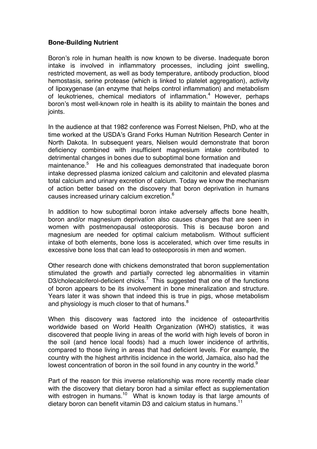# **Bone-Building Nutrient**

Boron's role in human health is now known to be diverse. Inadequate boron intake is involved in inflammatory processes, including joint swelling, restricted movement, as well as body temperature, antibody production, blood hemostasis, serine protease (which is linked to platelet aggregation), activity of lipoxygenase (an enzyme that helps control inflammation) and metabolism of leukotrienes, chemical mediators of inflammation.<sup>4</sup> However, perhaps boron's most well-known role in health is its ability to maintain the bones and joints.

In the audience at that 1982 conference was Forrest Nielsen, PhD, who at the time worked at the USDA's Grand Forks Human Nutrition Research Center in North Dakota. In subsequent years, Nielsen would demonstrate that boron deficiency combined with insufficient magnesium intake contributed to detrimental changes in bones due to suboptimal bone formation and maintenance.<sup>5</sup> He and his colleagues demonstrated that inadequate boron intake depressed plasma ionized calcium and calcitonin and elevated plasma total calcium and urinary excretion of calcium. Today we know the mechanism of action better based on the discovery that boron deprivation in humans causes increased urinary calcium excretion.<sup>6</sup>

In addition to how suboptimal boron intake adversely affects bone health, boron and/or magnesium deprivation also causes changes that are seen in women with postmenopausal osteoporosis. This is because boron and magnesium are needed for optimal calcium metabolism. Without sufficient intake of both elements, bone loss is accelerated, which over time results in excessive bone loss that can lead to osteoporosis in men and women.

Other research done with chickens demonstrated that boron supplementation stimulated the growth and partially corrected leg abnormalities in vitamin D3/cholecalciferol-deficient chicks.<sup>7</sup> This suggested that one of the functions of boron appears to be its involvement in bone mineralization and structure. Years later it was shown that indeed this is true in pigs, whose metabolism and physiology is much closer to that of humans.<sup>8</sup>

When this discovery was factored into the incidence of osteoarthritis worldwide based on World Health Organization (WHO) statistics, it was discovered that people living in areas of the world with high levels of boron in the soil (and hence local foods) had a much lower incidence of arthritis, compared to those living in areas that had deficient levels. For example, the country with the highest arthritis incidence in the world, Jamaica, also had the lowest concentration of boron in the soil found in any country in the world.<sup>9</sup>

Part of the reason for this inverse relationship was more recently made clear with the discovery that dietary boron had a similar effect as supplementation with estrogen in humans.<sup>10</sup> What is known today is that large amounts of dietary boron can benefit vitamin D3 and calcium status in humans.<sup>11</sup>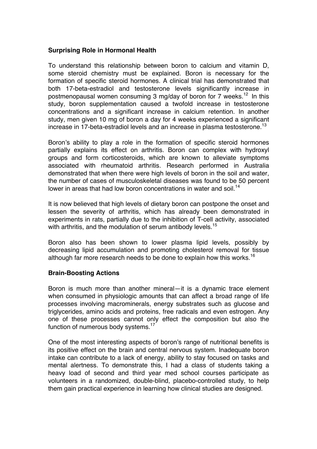# **Surprising Role in Hormonal Health**

To understand this relationship between boron to calcium and vitamin D, some steroid chemistry must be explained. Boron is necessary for the formation of specific steroid hormones. A clinical trial has demonstrated that both 17-beta-estradiol and testosterone levels significantly increase in postmenopausal women consuming 3 mg/day of boron for 7 weeks.<sup>12</sup> In this study, boron supplementation caused a twofold increase in testosterone concentrations and a significant increase in calcium retention. In another study, men given 10 mg of boron a day for 4 weeks experienced a significant increase in 17-beta-estradiol levels and an increase in plasma testosterone.<sup>13</sup>

Boron's ability to play a role in the formation of specific steroid hormones partially explains its effect on arthritis. Boron can complex with hydroxyl groups and form corticosteroids, which are known to alleviate symptoms associated with rheumatoid arthritis. Research performed in Australia demonstrated that when there were high levels of boron in the soil and water, the number of cases of musculoskeletal diseases was found to be 50 percent lower in areas that had low boron concentrations in water and soil.<sup>14</sup>

It is now believed that high levels of dietary boron can postpone the onset and lessen the severity of arthritis, which has already been demonstrated in experiments in rats, partially due to the inhibition of T-cell activity, associated with arthritis, and the modulation of serum antibody levels.<sup>15</sup>

Boron also has been shown to lower plasma lipid levels, possibly by decreasing lipid accumulation and promoting cholesterol removal for tissue although far more research needs to be done to explain how this works.<sup>16</sup>

### **Brain-Boosting Actions**

Boron is much more than another mineral—it is a dynamic trace element when consumed in physiologic amounts that can affect a broad range of life processes involving macrominerals, energy substrates such as glucose and triglycerides, amino acids and proteins, free radicals and even estrogen. Any one of these processes cannot only effect the composition but also the function of numerous body systems.<sup>17</sup>

One of the most interesting aspects of boron's range of nutritional benefits is its positive effect on the brain and central nervous system. Inadequate boron intake can contribute to a lack of energy, ability to stay focused on tasks and mental alertness. To demonstrate this, I had a class of students taking a heavy load of second and third year med school courses participate as volunteers in a randomized, double-blind, placebo-controlled study, to help them gain practical experience in learning how clinical studies are designed.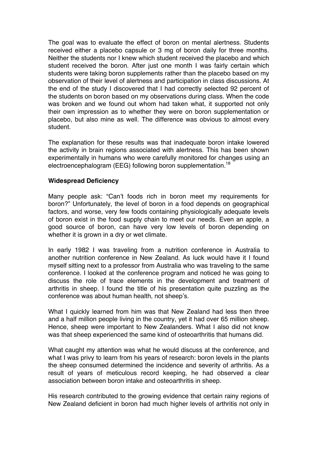The goal was to evaluate the effect of boron on mental alertness. Students received either a placebo capsule or 3 mg of boron daily for three months. Neither the students nor I knew which student received the placebo and which student received the boron. After just one month I was fairly certain which students were taking boron supplements rather than the placebo based on my observation of their level of alertness and participation in class discussions. At the end of the study I discovered that I had correctly selected 92 percent of the students on boron based on my observations during class. When the code was broken and we found out whom had taken what, it supported not only their own impression as to whether they were on boron supplementation or placebo, but also mine as well. The difference was obvious to almost every student.

The explanation for these results was that inadequate boron intake lowered the activity in brain regions associated with alertness. This has been shown experimentally in humans who were carefully monitored for changes using an electroencephalogram (EEG) following boron supplementation.<sup>18</sup>

### **Widespread Deficiency**

Many people ask: "Can't foods rich in boron meet my requirements for boron?" Unfortunately, the level of boron in a food depends on geographical factors, and worse, very few foods containing physiologically adequate levels of boron exist in the food supply chain to meet our needs. Even an apple, a good source of boron, can have very low levels of boron depending on whether it is grown in a dry or wet climate.

In early 1982 I was traveling from a nutrition conference in Australia to another nutrition conference in New Zealand. As luck would have it I found myself sitting next to a professor from Australia who was traveling to the same conference. I looked at the conference program and noticed he was going to discuss the role of trace elements in the development and treatment of arthritis in sheep. I found the title of his presentation quite puzzling as the conference was about human health, not sheep's.

What I quickly learned from him was that New Zealand had less then three and a half million people living in the country, yet it had over 65 million sheep. Hence, sheep were important to New Zealanders. What I also did not know was that sheep experienced the same kind of osteoarthritis that humans did.

What caught my attention was what he would discuss at the conference, and what I was privy to learn from his years of research: boron levels in the plants the sheep consumed determined the incidence and severity of arthritis. As a result of years of meticulous record keeping, he had observed a clear association between boron intake and osteoarthritis in sheep.

His research contributed to the growing evidence that certain rainy regions of New Zealand deficient in boron had much higher levels of arthritis not only in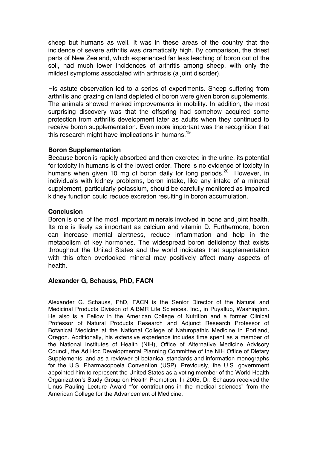sheep but humans as well. It was in these areas of the country that the incidence of severe arthritis was dramatically high. By comparison, the driest parts of New Zealand, which experienced far less leaching of boron out of the soil, had much lower incidences of arthritis among sheep, with only the mildest symptoms associated with arthrosis (a joint disorder).

His astute observation led to a series of experiments. Sheep suffering from arthritis and grazing on land depleted of boron were given boron supplements. The animals showed marked improvements in mobility. In addition, the most surprising discovery was that the offspring had somehow acquired some protection from arthritis development later as adults when they continued to receive boron supplementation. Even more important was the recognition that this research might have implications in humans.<sup>19</sup>

#### **Boron Supplementation**

Because boron is rapidly absorbed and then excreted in the urine, its potential for toxicity in humans is of the lowest order. There is no evidence of toxicity in humans when given 10 mg of boron daily for long periods.<sup>20</sup> However, in individuals with kidney problems, boron intake, like any intake of a mineral supplement, particularly potassium, should be carefully monitored as impaired kidney function could reduce excretion resulting in boron accumulation.

#### **Conclusion**

Boron is one of the most important minerals involved in bone and joint health. Its role is likely as important as calcium and vitamin D. Furthermore, boron can increase mental alertness, reduce inflammation and help in the metabolism of key hormones. The widespread boron deficiency that exists throughout the United States and the world indicates that supplementation with this often overlooked mineral may positively affect many aspects of health.

### **Alexander G, Schauss, PhD, FACN**

Alexander G. Schauss, PhD, FACN is the Senior Director of the Natural and Medicinal Products Division of AIBMR Life Sciences, Inc., in Puyallup, Washington. He also is a Fellow in the American College of Nutrition and a former Clinical Professor of Natural Products Research and Adjunct Research Professor of Botanical Medicine at the National College of Naturopathic Medicine in Portland, Oregon. Additionally, his extensive experience includes time spent as a member of the National Institutes of Health (NIH), Office of Alternative Medicine Advisory Council, the Ad Hoc Developmental Planning Committee of the NIH Office of Dietary Supplements, and as a reviewer of botanical standards and information monographs for the U.S. Pharmacopoeia Convention (USP). Previously, the U.S. government appointed him to represent the United States as a voting member of the World Health Organization's Study Group on Health Promotion. In 2005, Dr. Schauss received the Linus Pauling Lecture Award "for contributions in the medical sciences" from the American College for the Advancement of Medicine.